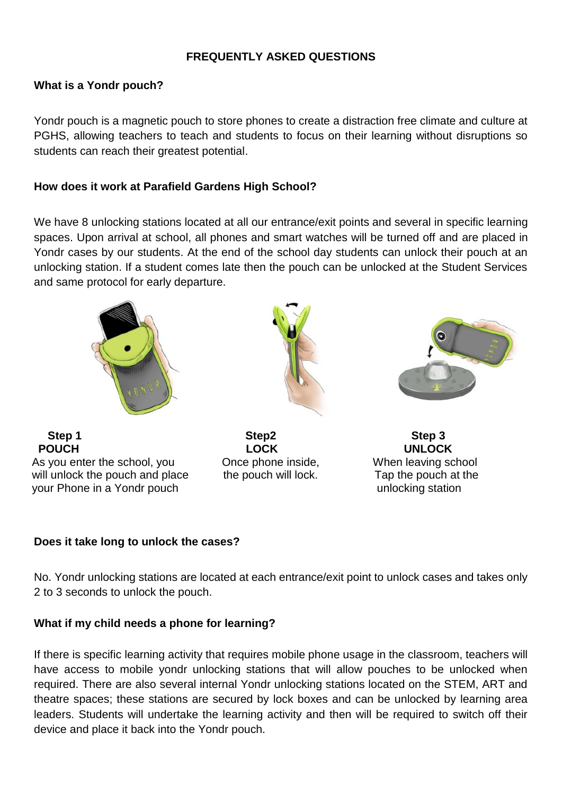### **FREQUENTLY ASKED QUESTIONS**

### **What is a Yondr pouch?**

Yondr pouch is a magnetic pouch to store phones to create a distraction free climate and culture at PGHS, allowing teachers to teach and students to focus on their learning without disruptions so students can reach their greatest potential.

### **How does it work at Parafield Gardens High School?**

We have 8 unlocking stations located at all our entrance/exit points and several in specific learning spaces. Upon arrival at school, all phones and smart watches will be turned off and are placed in Yondr cases by our students. At the end of the school day students can unlock their pouch at an unlocking station. If a student comes late then the pouch can be unlocked at the Student Services and same protocol for early departure.









### **Does it take long to unlock the cases?**

No. Yondr unlocking stations are located at each entrance/exit point to unlock cases and takes only 2 to 3 seconds to unlock the pouch.

### **What if my child needs a phone for learning?**

If there is specific learning activity that requires mobile phone usage in the classroom, teachers will have access to mobile yondr unlocking stations that will allow pouches to be unlocked when required. There are also several internal Yondr unlocking stations located on the STEM, ART and theatre spaces; these stations are secured by lock boxes and can be unlocked by learning area leaders. Students will undertake the learning activity and then will be required to switch off their device and place it back into the Yondr pouch.